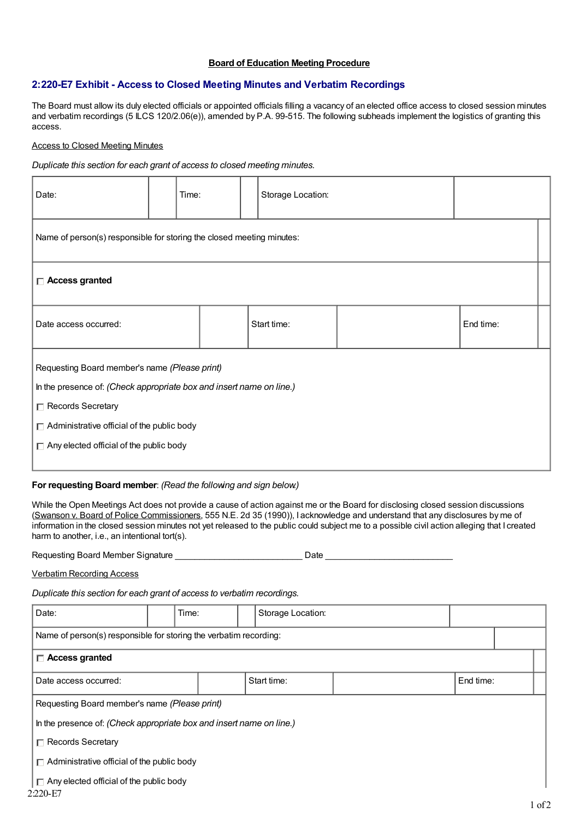# **Board of Education Meeting Procedure**

# **2:220-E7 Exhibit - Access to Closed Meeting Minutes and Verbatim Recordings**

The Board must allow its duly elected officials or appointed officials filling a vacancy of an elected office access to closed session minutes and verbatim recordings (5 ILCS 120/2.06(e)), amended by P.A. 99-515. The following subheads implement the logistics of granting this access.

#### Access to Closed Meeting Minutes

*Duplicate this section for each grant of access to closed meeting minutes.*

| Date:                                                                                                                                                                                                                                               | Time: |  | Storage Location: |  |  |  |  |  |  |  |
|-----------------------------------------------------------------------------------------------------------------------------------------------------------------------------------------------------------------------------------------------------|-------|--|-------------------|--|--|--|--|--|--|--|
| Name of person(s) responsible for storing the closed meeting minutes:                                                                                                                                                                               |       |  |                   |  |  |  |  |  |  |  |
| $\Box$ Access granted                                                                                                                                                                                                                               |       |  |                   |  |  |  |  |  |  |  |
| Date access occurred:                                                                                                                                                                                                                               |       |  | Start time:       |  |  |  |  |  |  |  |
| Requesting Board member's name (Please print)<br>In the presence of: (Check appropriate box and insert name on line.)<br>□ Records Secretary<br>$\Box$ Administrative official of the public body<br>$\Box$ Any elected official of the public body |       |  |                   |  |  |  |  |  |  |  |

#### **For requesting Board member**: *(Read the following and sign below.)*

While the Open Meetings Act does not provide a cause of action against me or the Board for disclosing closed session discussions (Swanson v. Board of Police Commissioners, 555 N.E. 2d 35 (1990)), I acknowledge and understand that any disclosures by me of information in the closed session minutes not yet released to the public could subject me to a possible civil action alleging that I created harm to another, i.e., an intentional tort(s).

Requesting Board Member Signature \_\_\_\_\_\_\_\_\_\_\_\_\_\_\_\_\_\_\_\_\_\_\_\_\_\_ Date \_\_\_\_\_\_\_\_\_\_\_\_\_\_\_\_\_\_\_\_\_\_\_\_\_\_

Verbatim Recording Access

*Duplicate this section for each grant of access to verbatim recordings.*

| Date:                                                                | Time: |  | Storage Location: |             |  |           |  |  |  |  |
|----------------------------------------------------------------------|-------|--|-------------------|-------------|--|-----------|--|--|--|--|
| Name of person(s) responsible for storing the verbatim recording:    |       |  |                   |             |  |           |  |  |  |  |
| $\Box$ Access granted                                                |       |  |                   |             |  |           |  |  |  |  |
| Date access occurred:                                                |       |  |                   | Start time: |  | End time: |  |  |  |  |
| Requesting Board member's name (Please print)                        |       |  |                   |             |  |           |  |  |  |  |
| In the presence of: (Check appropriate box and insert name on line.) |       |  |                   |             |  |           |  |  |  |  |
| $\Box$ Records Secretary                                             |       |  |                   |             |  |           |  |  |  |  |
| $\Box$ Administrative official of the public body                    |       |  |                   |             |  |           |  |  |  |  |
| $\Box$ Any elected official of the public body<br>2:220-E7           |       |  |                   |             |  |           |  |  |  |  |